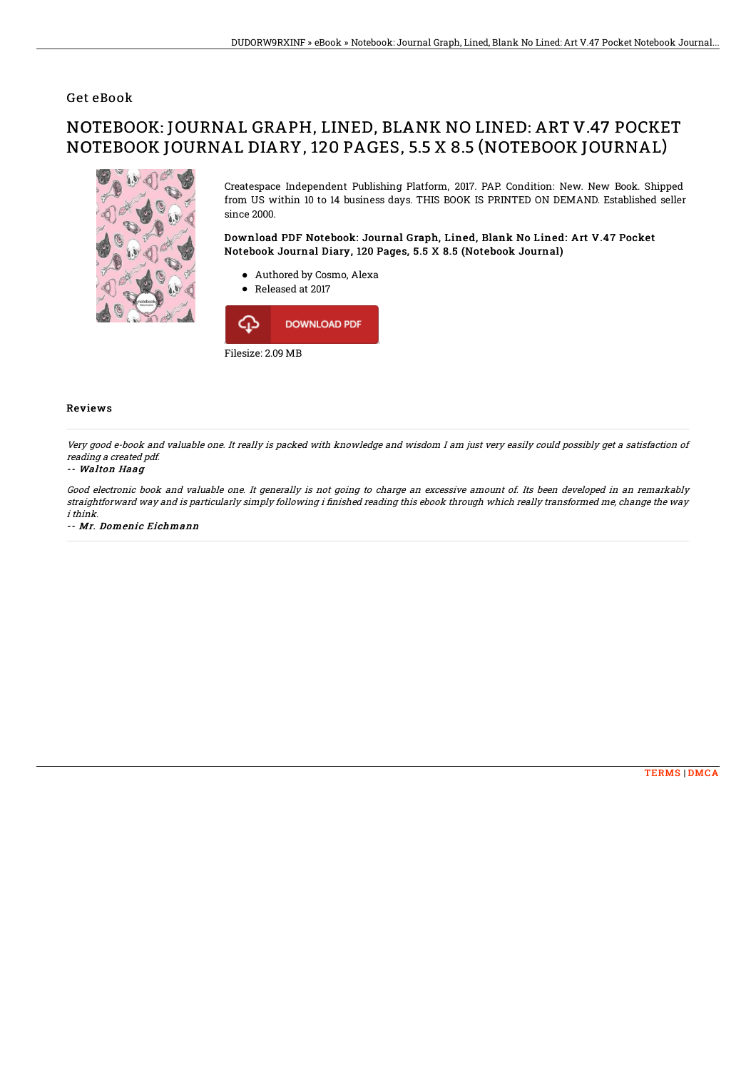### Get eBook

# NOTEBOOK: JOURNAL GRAPH, LINED, BLANK NO LINED: ART V.47 POCKET NOTEBOOK JOURNAL DIARY, 120 PAGES, 5.5 X 8.5 (NOTEBOOK JOURNAL)



Createspace Independent Publishing Platform, 2017. PAP. Condition: New. New Book. Shipped from US within 10 to 14 business days. THIS BOOK IS PRINTED ON DEMAND. Established seller since 2000.

Download PDF Notebook: Journal Graph, Lined, Blank No Lined: Art V.47 Pocket Notebook Journal Diary, 120 Pages, 5.5 X 8.5 (Notebook Journal)

- Authored by Cosmo, Alexa
- Released at 2017



#### Reviews

Very good e-book and valuable one. It really is packed with knowledge and wisdom I am just very easily could possibly get <sup>a</sup> satisfaction of reading <sup>a</sup> created pdf.

#### -- Walton Haag

Good electronic book and valuable one. It generally is not going to charge an excessive amount of. Its been developed in an remarkably straightforward way and is particularly simply following i finished reading this ebook through which really transformed me, change the way i think.

-- Mr. Domenic Eichmann